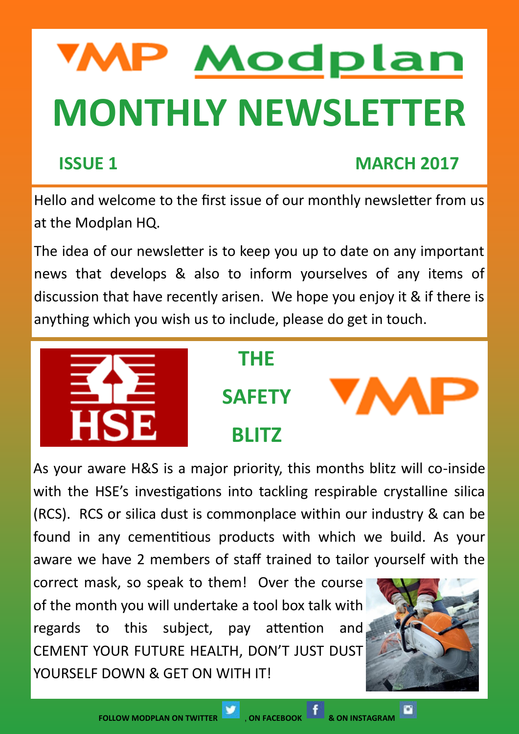# **MP Modplan MONTHLY NEWSLETTER**

# **ISSUE 1 MARCH 2017**

Hello and welcome to the first issue of our monthly newsletter from us at the Modplan HQ.

The idea of our newsletter is to keep you up to date on any important news that develops & also to inform yourselves of any items of discussion that have recently arisen. We hope you enjoy it & if there is anything which you wish us to include, please do get in touch.



#### **THE**

**SAFETY**

**BLITZ**



As your aware H&S is a major priority, this months blitz will co-inside with the HSE's investigations into tackling respirable crystalline silica (RCS). RCS or silica dust is commonplace within our industry & can be found in any cementitious products with which we build. As your aware we have 2 members of staff trained to tailor yourself with the

correct mask, so speak to them! Over the course of the month you will undertake a tool box talk with regards to this subject, pay attention and CEMENT YOUR FUTURE HEALTH, DON'T JUST DUST YOURSELF DOWN & GFT ON WITH IT!



O